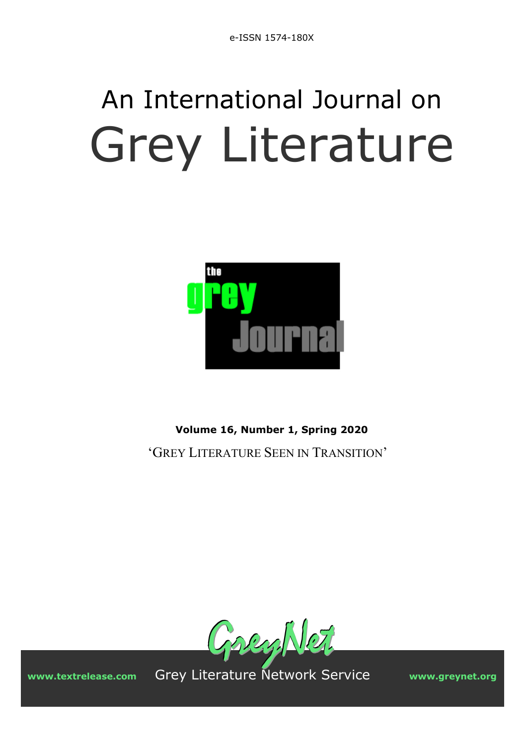# An International Journal on Grey Literature



**Volume 16, Number 1, Spring 2020** 'GREY LITERATURE SEEN IN TRANSITION'



**www.textrelease.com** Grey Literature Network Service **www.greynet.org**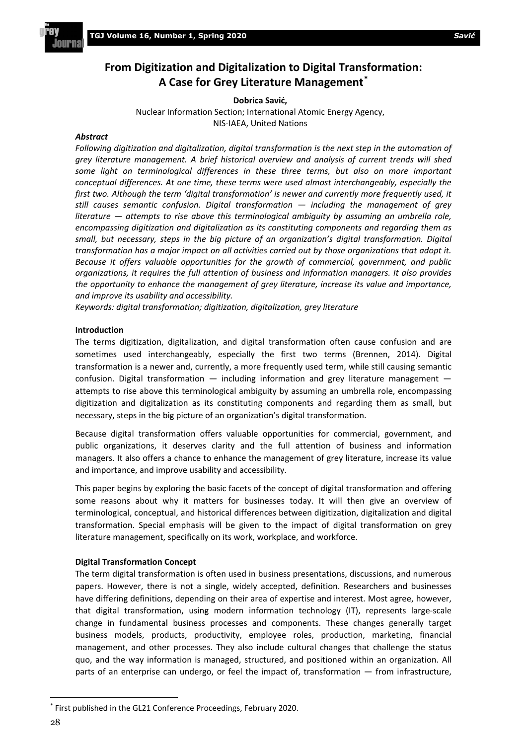

# **From Digitization and Digitalization to Digital Transformation: A Case for Grey Literature Management[\\*](#page-1-0)**

# **Dobrica Savić,**

Nuclear Information Section; International Atomic Energy Agency, NIS-IAEA, United Nations

# *Abstract*

*Following digitization and digitalization, digital transformation is the next step in the automation of grey literature management. A brief historical overview and analysis of current trends will shed some light on terminological differences in these three terms, but also on more important conceptual differences. At one time, these terms were used almost interchangeably, especially the first two. Although the term 'digital transformation' is newer and currently more frequently used, it still causes semantic confusion. Digital transformation — including the management of grey literature — attempts to rise above this terminological ambiguity by assuming an umbrella role, encompassing digitization and digitalization as its constituting components and regarding them as small, but necessary, steps in the big picture of an organization's digital transformation. Digital transformation has a major impact on all activities carried out by those organizations that adopt it. Because it offers valuable opportunities for the growth of commercial, government, and public organizations, it requires the full attention of business and information managers. It also provides the opportunity to enhance the management of grey literature, increase its value and importance, and improve its usability and accessibility.*

*Keywords: digital transformation; digitization, digitalization, grey literature*

# **Introduction**

The terms digitization, digitalization, and digital transformation often cause confusion and are sometimes used interchangeably, especially the first two terms (Brennen, 2014). Digital transformation is a newer and, currently, a more frequently used term, while still causing semantic confusion. Digital transformation — including information and grey literature management attempts to rise above this terminological ambiguity by assuming an umbrella role, encompassing digitization and digitalization as its constituting components and regarding them as small, but necessary, steps in the big picture of an organization's digital transformation.

Because digital transformation offers valuable opportunities for commercial, government, and public organizations, it deserves clarity and the full attention of business and information managers. It also offers a chance to enhance the management of grey literature, increase its value and importance, and improve usability and accessibility.

This paper begins by exploring the basic facets of the concept of digital transformation and offering some reasons about why it matters for businesses today. It will then give an overview of terminological, conceptual, and historical differences between digitization, digitalization and digital transformation. Special emphasis will be given to the impact of digital transformation on grey literature management, specifically on its work, workplace, and workforce.

# **Digital Transformation Concept**

The term digital transformation is often used in business presentations, discussions, and numerous papers. However, there is not a single, widely accepted, definition. Researchers and businesses have differing definitions, depending on their area of expertise and interest. Most agree, however, that digital transformation, using modern information technology (IT), represents large-scale change in fundamental business processes and components. These changes generally target business models, products, productivity, employee roles, production, marketing, financial management, and other processes. They also include cultural changes that challenge the status quo, and the way information is managed, structured, and positioned within an organization. All parts of an enterprise can undergo, or feel the impact of, transformation — from infrastructure,

<span id="page-1-0"></span> <sup>\*</sup> First published in the GL21 Conference Proceedings, February 2020.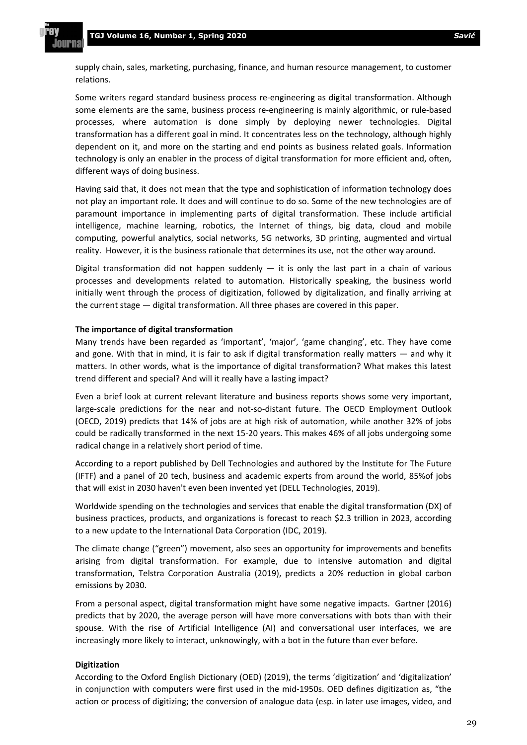supply chain, sales, marketing, purchasing, finance, and human resource management, to customer relations.

Some writers regard standard business process re-engineering as digital transformation. Although some elements are the same, business process re-engineering is mainly algorithmic, or rule-based processes, where automation is done simply by deploying newer technologies. Digital transformation has a different goal in mind. It concentrates less on the technology, although highly dependent on it, and more on the starting and end points as business related goals. Information technology is only an enabler in the process of digital transformation for more efficient and, often, different ways of doing business.

Having said that, it does not mean that the type and sophistication of information technology does not play an important role. It does and will continue to do so. Some of the new technologies are of paramount importance in implementing parts of digital transformation. These include artificial intelligence, machine learning, robotics, the Internet of things, big data, cloud and mobile computing, powerful analytics, social networks, 5G networks, 3D printing, augmented and virtual reality. However, it is the business rationale that determines its use, not the other way around.

Digital transformation did not happen suddenly  $-$  it is only the last part in a chain of various processes and developments related to automation. Historically speaking, the business world initially went through the process of digitization, followed by digitalization, and finally arriving at the current stage — digital transformation. All three phases are covered in this paper.

### **The importance of digital transformation**

Many trends have been regarded as 'important', 'major', 'game changing', etc. They have come and gone. With that in mind, it is fair to ask if digital transformation really matters — and why it matters. In other words, what is the importance of digital transformation? What makes this latest trend different and special? And will it really have a lasting impact?

Even a brief look at current relevant literature and business reports shows some very important, large-scale predictions for the near and not-so-distant future. The OECD Employment Outlook (OECD, 2019) predicts that 14% of jobs are at high risk of automation, while another 32% of jobs could be radically transformed in the next 15-20 years. This makes 46% of all jobs undergoing some radical change in a relatively short period of time.

According to a report published by Dell Technologies and authored by the Institute for The Future (IFTF) and a panel of 20 tech, business and academic experts from around the world, 85%of jobs that will exist in 2030 haven't even been invented yet (DELL Technologies, 2019).

Worldwide spending on the technologies and services that enable the digital transformation (DX) of business practices, products, and organizations is forecast to reach \$2.3 trillion in 2023, according to a new update to the International Data Corporation (IDC, 2019).

The climate change ("green") movement, also sees an opportunity for improvements and benefits arising from digital transformation. For example, due to intensive automation and digital transformation, Telstra Corporation Australia (2019), predicts a 20% reduction in global carbon emissions by 2030.

From a personal aspect, digital transformation might have some negative impacts. Gartner (2016) predicts that by 2020, the average person will have more conversations with bots than with their spouse. With the rise of Artificial Intelligence (AI) and conversational user interfaces, we are increasingly more likely to interact, unknowingly, with a bot in the future than ever before.

# **Digitization**

According to the Oxford English Dictionary (OED) (2019), the terms 'digitization' and 'digitalization' in conjunction with computers were first used in the mid-1950s. OED defines digitization as, "the action or process of digitizing; the conversion of analogue data (esp. in later use images, video, and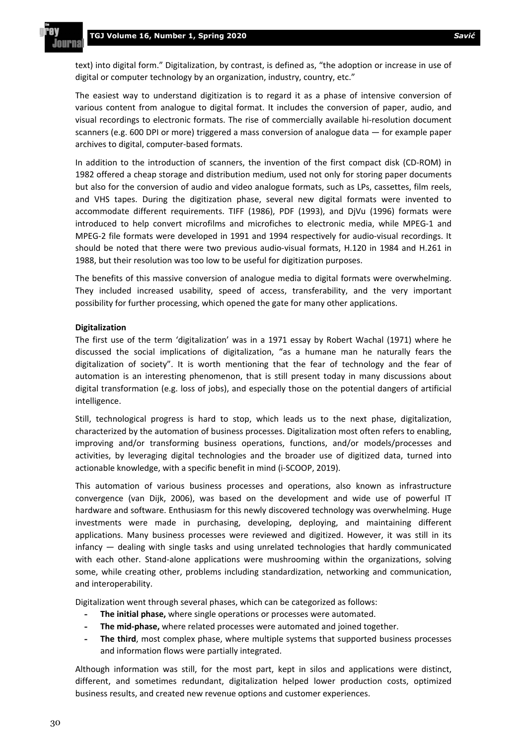text) into digital form." Digitalization, by contrast, is defined as, "the adoption or increase in use of digital or computer technology by an organization, industry, country, etc."

The easiest way to understand digitization is to regard it as a phase of intensive conversion of various content from analogue to digital format. It includes the conversion of paper, audio, and visual recordings to electronic formats. The rise of commercially available hi-resolution document scanners (e.g. 600 DPI or more) triggered a mass conversion of analogue data — for example paper archives to digital, computer-based formats.

In addition to the introduction of scanners, the invention of the first compact disk (CD-ROM) in 1982 offered a cheap storage and distribution medium, used not only for storing paper documents but also for the conversion of audio and video analogue formats, such as LPs, cassettes, film reels, and VHS tapes. During the digitization phase, several new digital formats were invented to accommodate different requirements. TIFF (1986), PDF (1993), and DjVu (1996) formats were introduced to help convert microfilms and microfiches to electronic media, while MPEG-1 and MPEG-2 file formats were developed in 1991 and 1994 respectively for audio-visual recordings. It should be noted that there were two previous audio-visual formats, H.120 in 1984 and H.261 in 1988, but their resolution was too low to be useful for digitization purposes.

The benefits of this massive conversion of analogue media to digital formats were overwhelming. They included increased usability, speed of access, transferability, and the very important possibility for further processing, which opened the gate for many other applications.

### **Digitalization**

The first use of the term 'digitalization' was in a 1971 essay by Robert Wachal (1971) where he discussed the social implications of digitalization, "as a humane man he naturally fears the digitalization of society". It is worth mentioning that the fear of technology and the fear of automation is an interesting phenomenon, that is still present today in many discussions about digital transformation (e.g. loss of jobs), and especially those on the potential dangers of artificial intelligence.

Still, technological progress is hard to stop, which leads us to the next phase, digitalization, characterized by the automation of business processes. Digitalization most often refers to enabling, improving and/or transforming business operations, functions, and/or models/processes and activities, by leveraging digital technologies and the broader use of digitized data, turned into actionable knowledge, with a specific benefit in mind (i-SCOOP, 2019).

This automation of various business processes and operations, also known as infrastructure convergence (van Dijk, 2006), was based on the development and wide use of powerful IT hardware and software. Enthusiasm for this newly discovered technology was overwhelming. Huge investments were made in purchasing, developing, deploying, and maintaining different applications. Many business processes were reviewed and digitized. However, it was still in its infancy — dealing with single tasks and using unrelated technologies that hardly communicated with each other. Stand-alone applications were mushrooming within the organizations, solving some, while creating other, problems including standardization, networking and communication, and interoperability.

Digitalization went through several phases, which can be categorized as follows:

- **- The initial phase,** where single operations or processes were automated.
- **- The mid-phase,** where related processes were automated and joined together.
- **- The third**, most complex phase, where multiple systems that supported business processes and information flows were partially integrated.

Although information was still, for the most part, kept in silos and applications were distinct, different, and sometimes redundant, digitalization helped lower production costs, optimized business results, and created new revenue options and customer experiences.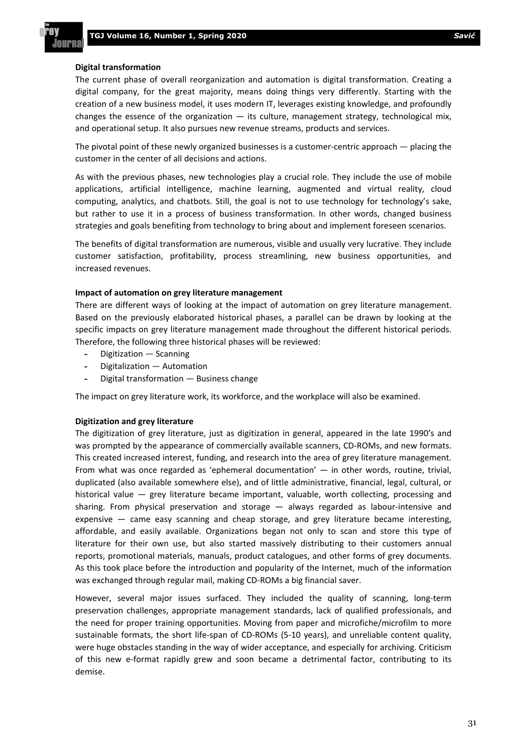# **Digital transformation**

The current phase of overall reorganization and automation is digital transformation. Creating a digital company, for the great majority, means doing things very differently. Starting with the creation of a new business model, it uses modern IT, leverages existing knowledge, and profoundly changes the essence of the organization  $-$  its culture, management strategy, technological mix, and operational setup. It also pursues new revenue streams, products and services.

The pivotal point of these newly organized businesses is a customer-centric approach — placing the customer in the center of all decisions and actions.

As with the previous phases, new technologies play a crucial role. They include the use of mobile applications, artificial intelligence, machine learning, augmented and virtual reality, cloud computing, analytics, and chatbots. Still, the goal is not to use technology for technology's sake, but rather to use it in a process of business transformation. In other words, changed business strategies and goals benefiting from technology to bring about and implement foreseen scenarios.

The benefits of digital transformation are numerous, visible and usually very lucrative. They include customer satisfaction, profitability, process streamlining, new business opportunities, and increased revenues.

# **Impact of automation on grey literature management**

There are different ways of looking at the impact of automation on grey literature management. Based on the previously elaborated historical phases, a parallel can be drawn by looking at the specific impacts on grey literature management made throughout the different historical periods. Therefore, the following three historical phases will be reviewed:

- **-** Digitization Scanning
- **-** Digitalization Automation
- **-** Digital transformation Business change

The impact on grey literature work, its workforce, and the workplace will also be examined.

# **Digitization and grey literature**

The digitization of grey literature, just as digitization in general, appeared in the late 1990's and was prompted by the appearance of commercially available scanners, CD-ROMs, and new formats. This created increased interest, funding, and research into the area of grey literature management. From what was once regarded as 'ephemeral documentation' — in other words, routine, trivial, duplicated (also available somewhere else), and of little administrative, financial, legal, cultural, or historical value — grey literature became important, valuable, worth collecting, processing and sharing. From physical preservation and storage — always regarded as labour-intensive and expensive — came easy scanning and cheap storage, and grey literature became interesting, affordable, and easily available. Organizations began not only to scan and store this type of literature for their own use, but also started massively distributing to their customers annual reports, promotional materials, manuals, product catalogues, and other forms of grey documents. As this took place before the introduction and popularity of the Internet, much of the information was exchanged through regular mail, making CD-ROMs a big financial saver.

However, several major issues surfaced. They included the quality of scanning, long-term preservation challenges, appropriate management standards, lack of qualified professionals, and the need for proper training opportunities. Moving from paper and microfiche/microfilm to more sustainable formats, the short life-span of CD-ROMs (5-10 years), and unreliable content quality, were huge obstacles standing in the way of wider acceptance, and especially for archiving. Criticism of this new e-format rapidly grew and soon became a detrimental factor, contributing to its demise.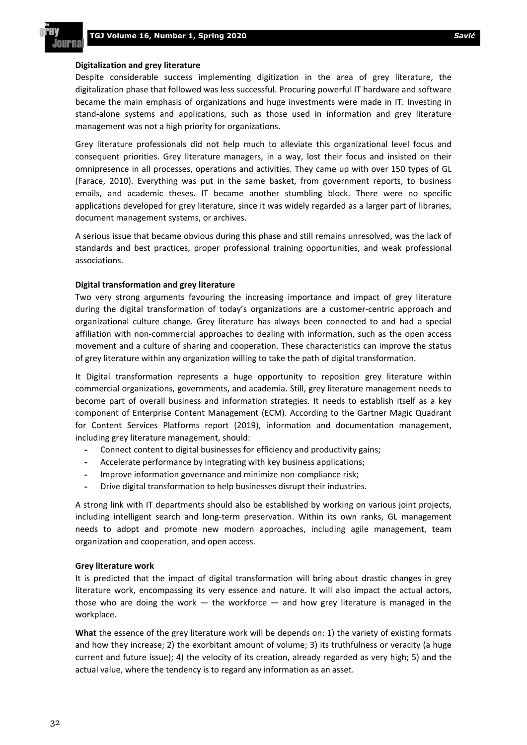#### **Digitalization and grey literature**

Despite considerable success implementing digitization in the area of grey literature, the digitalization phase that followed was less successful. Procuring powerful IT hardware and software became the main emphasis of organizations and huge investments were made in IT. Investing in stand-alone systems and applications, such as those used in information and grey literature management was not a high priority for organizations.

Grey literature professionals did not help much to alleviate this organizational level focus and consequent priorities. Grey literature managers, in a way, lost their focus and insisted on their omnipresence in all processes, operations and activities. They came up with over 150 types of GL (Farace, 2010). Everything was put in the same basket, from government reports, to business emails, and academic theses. IT became another stumbling block. There were no specific applications developed for grey literature, since it was widely regarded as a larger part of libraries, document management systems, or archives.

A serious issue that became obvious during this phase and still remains unresolved, was the lack of standards and best practices, proper professional training opportunities, and weak professional associations.

## **Digital transformation and grey literature**

Two very strong arguments favouring the increasing importance and impact of grey literature during the digital transformation of today's organizations are a customer-centric approach and organizational culture change. Grey literature has always been connected to and had a special affiliation with non-commercial approaches to dealing with information, such as the open access movement and a culture of sharing and cooperation. These characteristics can improve the status of grey literature within any organization willing to take the path of digital transformation.

It Digital transformation represents a huge opportunity to reposition grey literature within commercial organizations, governments, and academia. Still, grey literature management needs to become part of overall business and information strategies. It needs to establish itself as a key component of Enterprise Content Management (ECM). According to the Gartner Magic Quadrant for Content Services Platforms report (2019), information and documentation management, including grey literature management, should:

- **-** Connect content to digital businesses for efficiency and productivity gains;
- **-** Accelerate performance by integrating with key business applications;
- **-** Improve information governance and minimize non-compliance risk;
- **-** Drive digital transformation to help businesses disrupt their industries.

A strong link with IT departments should also be established by working on various joint projects, including intelligent search and long-term preservation. Within its own ranks, GL management needs to adopt and promote new modern approaches, including agile management, team organization and cooperation, and open access.

## **Grey literature work**

It is predicted that the impact of digital transformation will bring about drastic changes in grey literature work, encompassing its very essence and nature. It will also impact the actual actors, those who are doing the work  $-$  the workforce  $-$  and how grey literature is managed in the workplace.

**What** the essence of the grey literature work will be depends on: 1) the variety of existing formats and how they increase; 2) the exorbitant amount of volume; 3) its truthfulness or veracity (a huge current and future issue); 4) the velocity of its creation, already regarded as very high; 5) and the actual value, where the tendency is to regard any information as an asset.